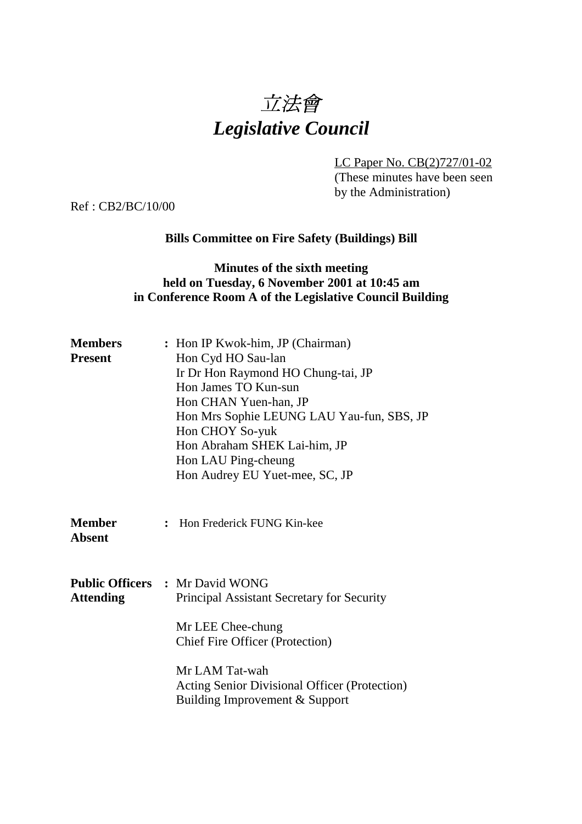# 立法會 *Legislative Council*

LC Paper No. CB(2)727/01-02 (These minutes have been seen by the Administration)

Ref : CB2/BC/10/00

### **Bills Committee on Fire Safety (Buildings) Bill**

### **Minutes of the sixth meeting held on Tuesday, 6 November 2001 at 10:45 am in Conference Room A of the Legislative Council Building**

| <b>Members</b><br><b>Present</b> | : Hon IP Kwok-him, JP (Chairman)<br>Hon Cyd HO Sau-lan<br>Ir Dr Hon Raymond HO Chung-tai, JP<br>Hon James TO Kun-sun<br>Hon CHAN Yuen-han, JP<br>Hon Mrs Sophie LEUNG LAU Yau-fun, SBS, JP<br>Hon CHOY So-yuk<br>Hon Abraham SHEK Lai-him, JP<br>Hon LAU Ping-cheung<br>Hon Audrey EU Yuet-mee, SC, JP |
|----------------------------------|--------------------------------------------------------------------------------------------------------------------------------------------------------------------------------------------------------------------------------------------------------------------------------------------------------|
| <b>Member</b><br><b>Absent</b>   | Hon Frederick FUNG Kin-kee<br>$\ddot{\cdot}$                                                                                                                                                                                                                                                           |
| <b>Attending</b>                 | <b>Public Officers : Mr David WONG</b><br>Principal Assistant Secretary for Security<br>Mr LEE Chee-chung<br><b>Chief Fire Officer (Protection)</b><br>Mr LAM Tat-wah<br>Acting Senior Divisional Officer (Protection)<br>Building Improvement & Support                                               |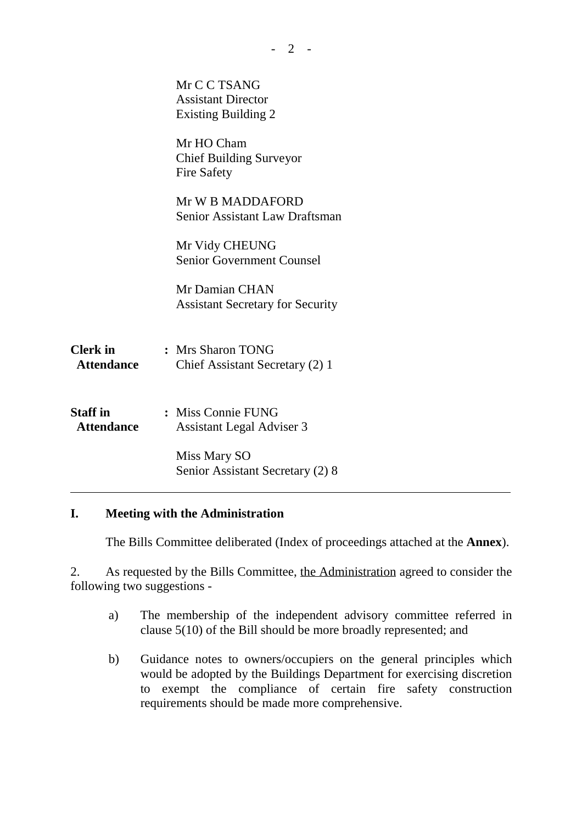|                                      | Mr C C TSANG<br><b>Assistant Director</b><br><b>Existing Building 2</b> |  |
|--------------------------------------|-------------------------------------------------------------------------|--|
|                                      | Mr HO Cham<br><b>Chief Building Surveyor</b><br><b>Fire Safety</b>      |  |
|                                      | Mr W B MADDAFORD<br><b>Senior Assistant Law Draftsman</b>               |  |
|                                      | Mr Vidy CHEUNG<br><b>Senior Government Counsel</b>                      |  |
|                                      | Mr Damian CHAN<br><b>Assistant Secretary for Security</b>               |  |
| <b>Clerk</b> in<br><b>Attendance</b> | : Mrs Sharon TONG<br>Chief Assistant Secretary (2) 1                    |  |
| <b>Staff in</b><br><b>Attendance</b> | : Miss Connie FUNG<br><b>Assistant Legal Adviser 3</b>                  |  |
|                                      | Miss Mary SO<br>Senior Assistant Secretary (2) 8                        |  |
|                                      |                                                                         |  |

# **I. Meeting with the Administration**

The Bills Committee deliberated (Index of proceedings attached at the **Annex**).

2. As requested by the Bills Committee, the Administration agreed to consider the following two suggestions -

- a) The membership of the independent advisory committee referred in clause 5(10) of the Bill should be more broadly represented; and
- b) Guidance notes to owners/occupiers on the general principles which would be adopted by the Buildings Department for exercising discretion to exempt the compliance of certain fire safety construction requirements should be made more comprehensive.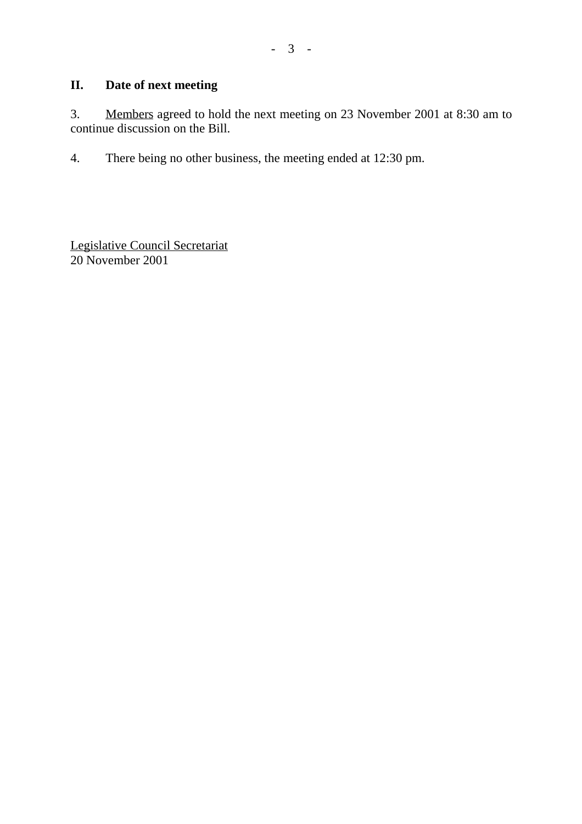# **II. Date of next meeting**

3. Members agreed to hold the next meeting on 23 November 2001 at 8:30 am to continue discussion on the Bill.

4. There being no other business, the meeting ended at 12:30 pm.

Legislative Council Secretariat 20 November 2001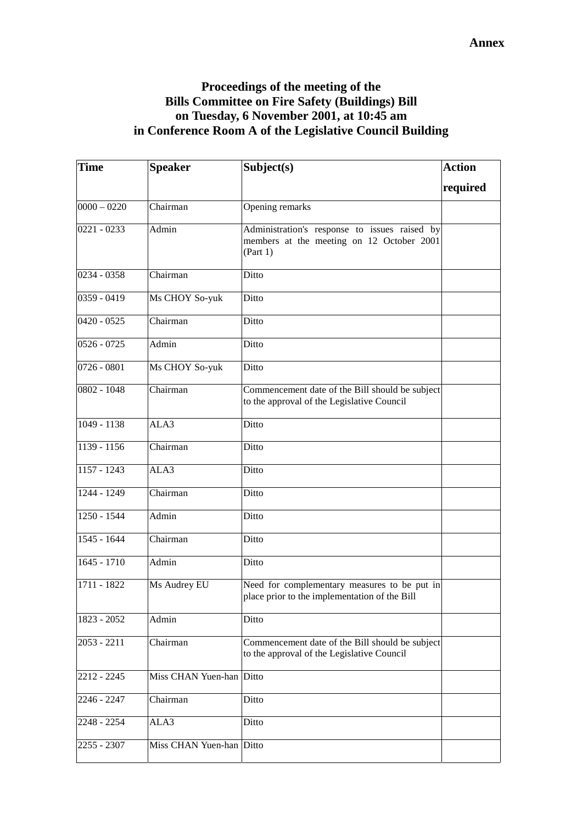# **Proceedings of the meeting of the Bills Committee on Fire Safety (Buildings) Bill on Tuesday, 6 November 2001, at 10:45 am in Conference Room A of the Legislative Council Building**

| Time          | <b>Speaker</b>     | Subject(s)                                                                                             | <b>Action</b> |
|---------------|--------------------|--------------------------------------------------------------------------------------------------------|---------------|
|               |                    |                                                                                                        | required      |
| $0000 - 0220$ | Chairman           | Opening remarks                                                                                        |               |
| $0221 - 0233$ | Admin              | Administration's response to issues raised by<br>members at the meeting on 12 October 2001<br>(Part 1) |               |
| 0234 - 0358   | Chairman           | Ditto                                                                                                  |               |
| $0359 - 0419$ | Ms CHOY So-yuk     | Ditto                                                                                                  |               |
| $0420 - 0525$ | Chairman           | Ditto                                                                                                  |               |
| $0526 - 0725$ | Admin              | Ditto                                                                                                  |               |
| $0726 - 0801$ | Ms CHOY So-yuk     | Ditto                                                                                                  |               |
| 0802 - 1048   | Chairman           | Commencement date of the Bill should be subject<br>to the approval of the Legislative Council          |               |
| $1049 - 1138$ | ALA3               | Ditto                                                                                                  |               |
| $1139 - 1156$ | Chairman           | Ditto                                                                                                  |               |
| 1157 - 1243   | ALA3               | Ditto                                                                                                  |               |
| 1244 - 1249   | Chairman           | Ditto                                                                                                  |               |
| $1250 - 1544$ | Admin              | Ditto                                                                                                  |               |
| 1545 - 1644   | Chairman           | Ditto                                                                                                  |               |
| $1645 - 1710$ | Admin              | Ditto                                                                                                  |               |
| 1711 - 1822   | Ms Audrey EU       | Need for complementary measures to be put in<br>place prior to the implementation of the Bill          |               |
| 1823 - 2052   | Admin              | Ditto                                                                                                  |               |
| $2053 - 2211$ | Chairman           | Commencement date of the Bill should be subject<br>to the approval of the Legislative Council          |               |
| 2212 - 2245   | Miss CHAN Yuen-han | Ditto                                                                                                  |               |
| 2246 - 2247   | Chairman           | Ditto                                                                                                  |               |
| 2248 - 2254   | ALA3               | Ditto                                                                                                  |               |
| 2255 - 2307   | Miss CHAN Yuen-han | Ditto                                                                                                  |               |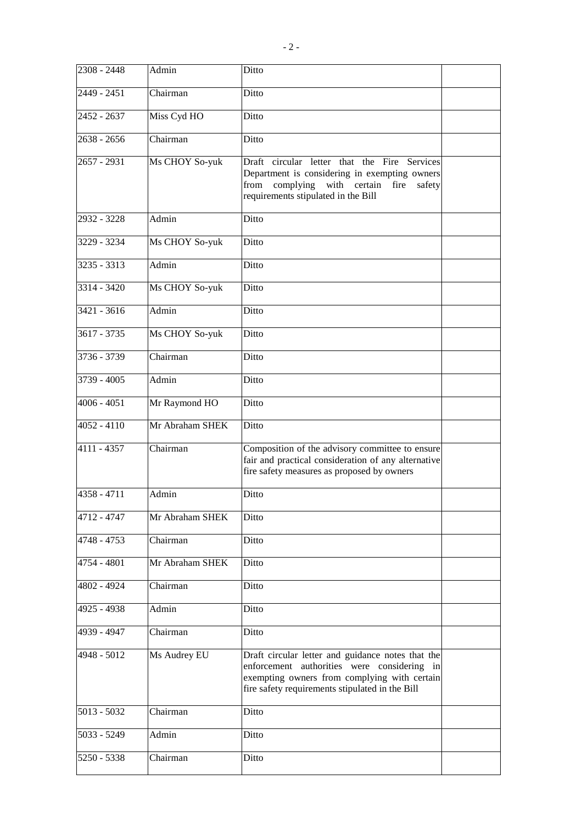| $2308 - 2448$ | Admin           | Ditto                                                                                                                                                                                               |  |
|---------------|-----------------|-----------------------------------------------------------------------------------------------------------------------------------------------------------------------------------------------------|--|
| 2449 - 2451   | Chairman        | Ditto                                                                                                                                                                                               |  |
| 2452 - 2637   | Miss Cyd HO     | Ditto                                                                                                                                                                                               |  |
| $2638 - 2656$ | Chairman        | Ditto                                                                                                                                                                                               |  |
| 2657 - 2931   | Ms CHOY So-yuk  | Draft circular letter that the Fire Services<br>Department is considering in exempting owners<br>from<br>complying<br>with certain fire<br>safety<br>requirements stipulated in the Bill            |  |
| 2932 - 3228   | Admin           | Ditto                                                                                                                                                                                               |  |
| 3229 - 3234   | Ms CHOY So-yuk  | Ditto                                                                                                                                                                                               |  |
| 3235 - 3313   | Admin           | Ditto                                                                                                                                                                                               |  |
| $3314 - 3420$ | Ms CHOY So-yuk  | Ditto                                                                                                                                                                                               |  |
| 3421 - 3616   | Admin           | Ditto                                                                                                                                                                                               |  |
| 3617 - 3735   | Ms CHOY So-yuk  | Ditto                                                                                                                                                                                               |  |
| 3736 - 3739   | Chairman        | Ditto                                                                                                                                                                                               |  |
| 3739 - 4005   | Admin           | Ditto                                                                                                                                                                                               |  |
| $4006 - 4051$ | Mr Raymond HO   | Ditto                                                                                                                                                                                               |  |
| $4052 - 4110$ | Mr Abraham SHEK | Ditto                                                                                                                                                                                               |  |
| 4111 - 4357   | Chairman        | Composition of the advisory committee to ensure<br>fair and practical consideration of any alternative<br>fire safety measures as proposed by owners                                                |  |
| $4358 - 4711$ | Admin           | Ditto                                                                                                                                                                                               |  |
| 4712 - 4747   | Mr Abraham SHEK | Ditto                                                                                                                                                                                               |  |
| 4748 - 4753   | Chairman        | Ditto                                                                                                                                                                                               |  |
| 4754 - 4801   | Mr Abraham SHEK | Ditto                                                                                                                                                                                               |  |
| 4802 - 4924   | Chairman        | Ditto                                                                                                                                                                                               |  |
| 4925 - 4938   | Admin           | Ditto                                                                                                                                                                                               |  |
| 4939 - 4947   | Chairman        | Ditto                                                                                                                                                                                               |  |
| 4948 - 5012   | Ms Audrey EU    | Draft circular letter and guidance notes that the<br>enforcement authorities were considering in<br>exempting owners from complying with certain<br>fire safety requirements stipulated in the Bill |  |
| $5013 - 5032$ | Chairman        | Ditto                                                                                                                                                                                               |  |
| 5033 - 5249   | Admin           | Ditto                                                                                                                                                                                               |  |
| 5250 - 5338   | Chairman        | Ditto                                                                                                                                                                                               |  |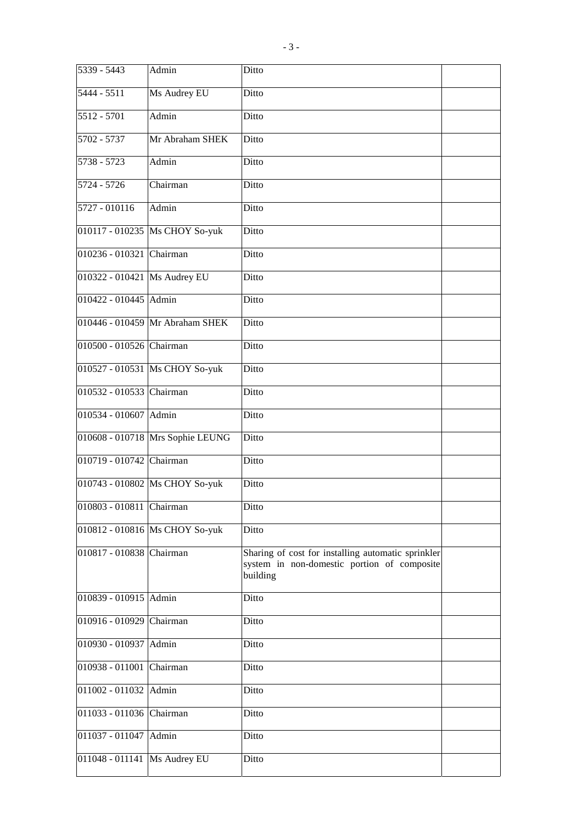| 5339 - 5443                  | Admin                            | Ditto                                                                                                         |  |
|------------------------------|----------------------------------|---------------------------------------------------------------------------------------------------------------|--|
| $5444 - 5511$                | Ms Audrey EU                     | Ditto                                                                                                         |  |
| 5512 - 5701                  | Admin                            | Ditto                                                                                                         |  |
| $5702 - 5737$                | Mr Abraham SHEK                  | Ditto                                                                                                         |  |
| $5738 - 5723$                | Admin                            | Ditto                                                                                                         |  |
| 5724 - 5726                  | Chairman                         | Ditto                                                                                                         |  |
| 5727 - 010116                | Admin                            | Ditto                                                                                                         |  |
|                              | 010117 - 010235  Ms CHOY So-yuk  | Ditto                                                                                                         |  |
| 010236 - 010321 Chairman     |                                  | Ditto                                                                                                         |  |
| 010322 - 010421 Ms Audrey EU |                                  | Ditto                                                                                                         |  |
| 010422 - 010445 Admin        |                                  | Ditto                                                                                                         |  |
|                              | 010446 - 010459 Mr Abraham SHEK  | Ditto                                                                                                         |  |
| 010500 - 010526 Chairman     |                                  | Ditto                                                                                                         |  |
|                              | 010527 - 010531 Ms CHOY So-yuk   | Ditto                                                                                                         |  |
| 010532 - 010533 Chairman     |                                  | Ditto                                                                                                         |  |
| 010534 - 010607              | Admin                            | Ditto                                                                                                         |  |
|                              | 010608 - 010718 Mrs Sophie LEUNG | Ditto                                                                                                         |  |
| 010719 - 010742 Chairman     |                                  | Ditto                                                                                                         |  |
|                              | 010743 - 010802 Ms CHOY So-yuk   | Ditto                                                                                                         |  |
| 010803 - 010811 Chairman     |                                  | Ditto                                                                                                         |  |
|                              | 010812 - 010816 Ms CHOY So-yuk   | Ditto                                                                                                         |  |
| 010817 - 010838 Chairman     |                                  | Sharing of cost for installing automatic sprinkler<br>system in non-domestic portion of composite<br>building |  |
| 010839 - 010915 Admin        |                                  | Ditto                                                                                                         |  |
| 010916 - 010929              | Chairman                         | Ditto                                                                                                         |  |
| 010930 - 010937              | Admin                            | Ditto                                                                                                         |  |
| 010938 - 011001              | Chairman                         | Ditto                                                                                                         |  |
| 011002 - 011032              | Admin                            | Ditto                                                                                                         |  |
| 011033 - 011036 Chairman     |                                  | Ditto                                                                                                         |  |
| 011037 - 011047              | Admin                            | Ditto                                                                                                         |  |
| 011048 - 011141              | Ms Audrey EU                     | Ditto                                                                                                         |  |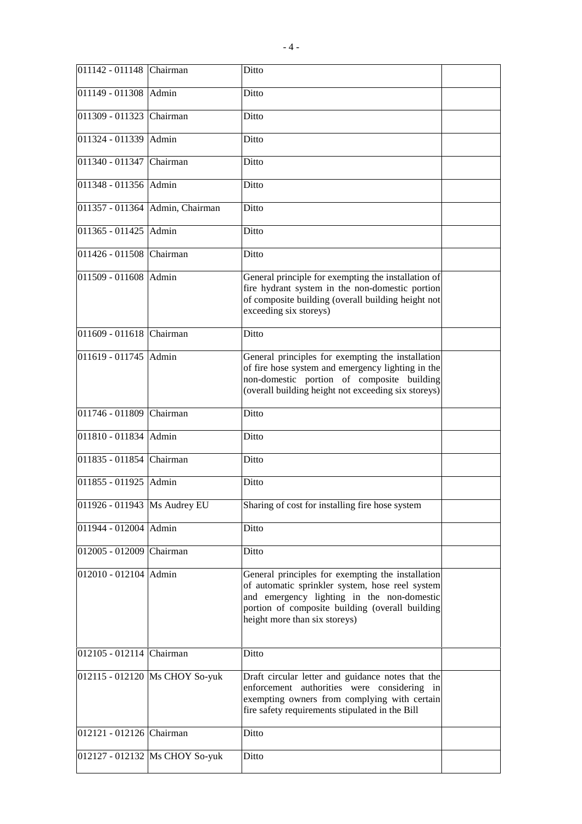| 011142 - 011148                | Chairman                         | Ditto                                                                                                                                                                                                                                  |  |
|--------------------------------|----------------------------------|----------------------------------------------------------------------------------------------------------------------------------------------------------------------------------------------------------------------------------------|--|
| 011149 - 011308 Admin          |                                  | Ditto                                                                                                                                                                                                                                  |  |
| 011309 - 011323                | Chairman                         | Ditto                                                                                                                                                                                                                                  |  |
| 011324 - 011339                | Admin                            | Ditto                                                                                                                                                                                                                                  |  |
| 011340 - 011347                | Chairman                         | Ditto                                                                                                                                                                                                                                  |  |
| 011348 - 011356 Admin          |                                  | Ditto                                                                                                                                                                                                                                  |  |
|                                | 011357 - 011364 Admin, Chairman  | Ditto                                                                                                                                                                                                                                  |  |
| 011365 - 011425                | Admin                            | Ditto                                                                                                                                                                                                                                  |  |
| 011426 - 011508 Chairman       |                                  | Ditto                                                                                                                                                                                                                                  |  |
| 011509 - 011608 Admin          |                                  | General principle for exempting the installation of<br>fire hydrant system in the non-domestic portion<br>of composite building (overall building height not<br>exceeding six storeys)                                                 |  |
| 011609 - 011618                | Chairman                         | Ditto                                                                                                                                                                                                                                  |  |
| 011619 - 011745                | Admin                            | General principles for exempting the installation<br>of fire hose system and emergency lighting in the<br>non-domestic portion of composite building<br>(overall building height not exceeding six storeys)                            |  |
| 011746 - 011809 Chairman       |                                  | Ditto                                                                                                                                                                                                                                  |  |
| 011810 - 011834                | Admin                            | Ditto                                                                                                                                                                                                                                  |  |
| 011835 - 011854                | Chairman                         | Ditto                                                                                                                                                                                                                                  |  |
| 011855 - 011925                | Admin                            | Ditto                                                                                                                                                                                                                                  |  |
| 011926 - 011943   Ms Audrey EU |                                  | Sharing of cost for installing fire hose system                                                                                                                                                                                        |  |
| 011944 - 012004 Admin          |                                  | Ditto                                                                                                                                                                                                                                  |  |
| 012005 - 012009 Chairman       |                                  | Ditto                                                                                                                                                                                                                                  |  |
| 012010 - 012104 Admin          |                                  | General principles for exempting the installation<br>of automatic sprinkler system, hose reel system<br>and emergency lighting in the non-domestic<br>portion of composite building (overall building<br>height more than six storeys) |  |
| 012105 - 012114 Chairman       |                                  | Ditto                                                                                                                                                                                                                                  |  |
|                                | 012115 - 012120   Ms CHOY So-yuk | Draft circular letter and guidance notes that the<br>enforcement authorities were considering in<br>exempting owners from complying with certain<br>fire safety requirements stipulated in the Bill                                    |  |
| 012121 - 012126 Chairman       |                                  | Ditto                                                                                                                                                                                                                                  |  |
|                                | 012127 - 012132 Ms CHOY So-yuk   | Ditto                                                                                                                                                                                                                                  |  |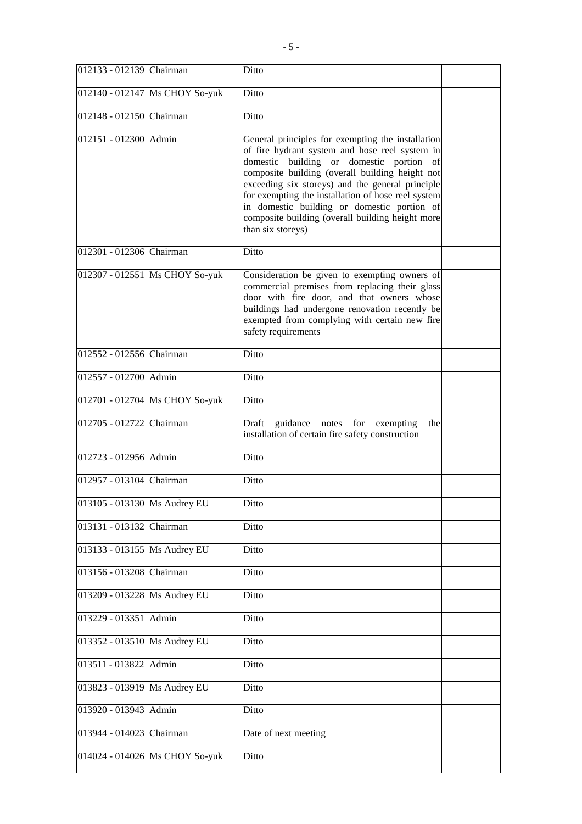| 012133 - 012139 Chairman     |                                | Ditto                                                                                                                                                                                                                                                                                                                                                                                                                                |  |
|------------------------------|--------------------------------|--------------------------------------------------------------------------------------------------------------------------------------------------------------------------------------------------------------------------------------------------------------------------------------------------------------------------------------------------------------------------------------------------------------------------------------|--|
|                              | 012140 - 012147 Ms CHOY So-yuk | Ditto                                                                                                                                                                                                                                                                                                                                                                                                                                |  |
| 012148 - 012150 Chairman     |                                | Ditto                                                                                                                                                                                                                                                                                                                                                                                                                                |  |
| 012151 - 012300 Admin        |                                | General principles for exempting the installation<br>of fire hydrant system and hose reel system in<br>domestic building or domestic portion of<br>composite building (overall building height not<br>exceeding six storeys) and the general principle<br>for exempting the installation of hose reel system<br>in domestic building or domestic portion of<br>composite building (overall building height more<br>than six storeys) |  |
| 012301 - 012306 Chairman     |                                | Ditto                                                                                                                                                                                                                                                                                                                                                                                                                                |  |
|                              | 012307 - 012551 Ms CHOY So-yuk | Consideration be given to exempting owners of<br>commercial premises from replacing their glass<br>door with fire door, and that owners whose<br>buildings had undergone renovation recently be<br>exempted from complying with certain new fire<br>safety requirements                                                                                                                                                              |  |
| 012552 - 012556 Chairman     |                                | Ditto                                                                                                                                                                                                                                                                                                                                                                                                                                |  |
| 012557 - 012700 Admin        |                                | Ditto                                                                                                                                                                                                                                                                                                                                                                                                                                |  |
|                              | 012701 - 012704 Ms CHOY So-yuk | Ditto                                                                                                                                                                                                                                                                                                                                                                                                                                |  |
| 012705 - 012722 Chairman     |                                | Draft guidance notes for exempting<br>the<br>installation of certain fire safety construction                                                                                                                                                                                                                                                                                                                                        |  |
| 012723 - 012956 Admin        |                                | Ditto                                                                                                                                                                                                                                                                                                                                                                                                                                |  |
| 012957 - 013104 Chairman     |                                | Ditto                                                                                                                                                                                                                                                                                                                                                                                                                                |  |
| 013105 - 013130 Ms Audrey EU |                                | Ditto                                                                                                                                                                                                                                                                                                                                                                                                                                |  |
| 013131 - 013132 Chairman     |                                | Ditto                                                                                                                                                                                                                                                                                                                                                                                                                                |  |
| 013133 - 013155 Ms Audrey EU |                                | Ditto                                                                                                                                                                                                                                                                                                                                                                                                                                |  |
| 013156 - 013208 Chairman     |                                | Ditto                                                                                                                                                                                                                                                                                                                                                                                                                                |  |
| 013209 - 013228 Ms Audrey EU |                                | Ditto                                                                                                                                                                                                                                                                                                                                                                                                                                |  |
| 013229 - 013351 Admin        |                                | Ditto                                                                                                                                                                                                                                                                                                                                                                                                                                |  |
| 013352 - 013510 Ms Audrey EU |                                | Ditto                                                                                                                                                                                                                                                                                                                                                                                                                                |  |
| 013511 - 013822 Admin        |                                | Ditto                                                                                                                                                                                                                                                                                                                                                                                                                                |  |
| 013823 - 013919 Ms Audrey EU |                                | Ditto                                                                                                                                                                                                                                                                                                                                                                                                                                |  |
| 013920 - 013943 Admin        |                                | Ditto                                                                                                                                                                                                                                                                                                                                                                                                                                |  |
| 013944 - 014023 Chairman     |                                | Date of next meeting                                                                                                                                                                                                                                                                                                                                                                                                                 |  |
|                              | 014024 - 014026 Ms CHOY So-yuk | Ditto                                                                                                                                                                                                                                                                                                                                                                                                                                |  |